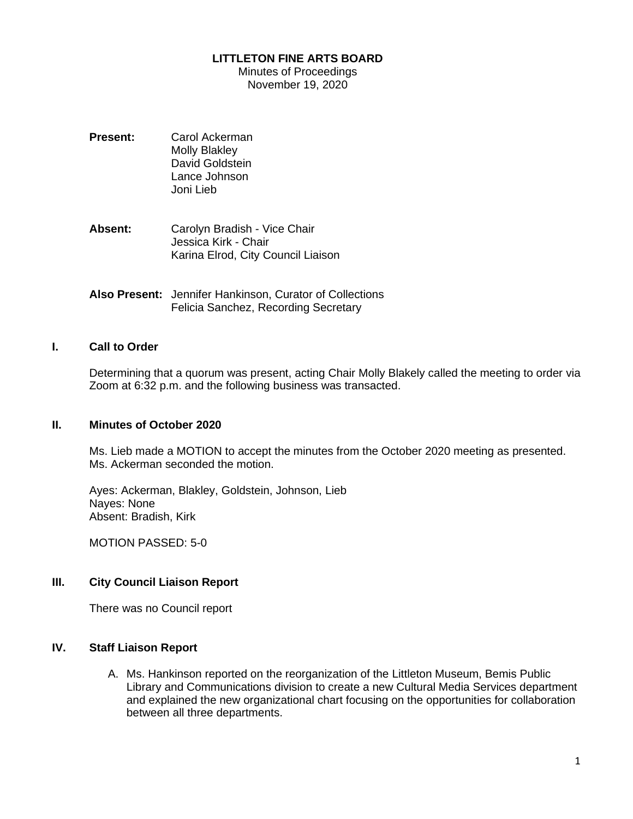### **LITTLETON FINE ARTS BOARD**

Minutes of Proceedings November 19, 2020

- **Present:** Carol Ackerman Molly Blakley David Goldstein Lance Johnson Joni Lieb
- **Absent:** Carolyn Bradish Vice Chair Jessica Kirk - Chair Karina Elrod, City Council Liaison
- **Also Present:** Jennifer Hankinson, Curator of Collections Felicia Sanchez, Recording Secretary

### **I. Call to Order**

Determining that a quorum was present, acting Chair Molly Blakely called the meeting to order via Zoom at 6:32 p.m. and the following business was transacted.

#### **II. Minutes of October 2020**

Ms. Lieb made a MOTION to accept the minutes from the October 2020 meeting as presented. Ms. Ackerman seconded the motion.

Ayes: Ackerman, Blakley, Goldstein, Johnson, Lieb Nayes: None Absent: Bradish, Kirk

MOTION PASSED: 5-0

# **III. City Council Liaison Report**

There was no Council report

#### **IV. Staff Liaison Report**

A. Ms. Hankinson reported on the reorganization of the Littleton Museum, Bemis Public Library and Communications division to create a new Cultural Media Services department and explained the new organizational chart focusing on the opportunities for collaboration between all three departments.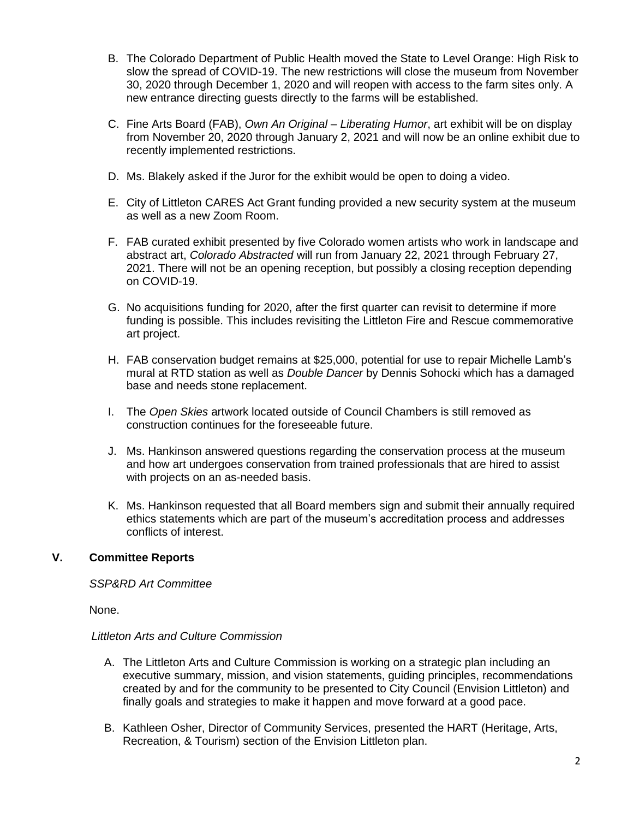- B. The Colorado Department of Public Health moved the State to Level Orange: High Risk to slow the spread of COVID-19. The new restrictions will close the museum from November 30, 2020 through December 1, 2020 and will reopen with access to the farm sites only. A new entrance directing guests directly to the farms will be established.
- C. Fine Arts Board (FAB), *Own An Original – Liberating Humor*, art exhibit will be on display from November 20, 2020 through January 2, 2021 and will now be an online exhibit due to recently implemented restrictions.
- D. Ms. Blakely asked if the Juror for the exhibit would be open to doing a video.
- E. City of Littleton CARES Act Grant funding provided a new security system at the museum as well as a new Zoom Room.
- F. FAB curated exhibit presented by five Colorado women artists who work in landscape and abstract art, *Colorado Abstracted* will run from January 22, 2021 through February 27, 2021. There will not be an opening reception, but possibly a closing reception depending on COVID-19.
- G. No acquisitions funding for 2020, after the first quarter can revisit to determine if more funding is possible. This includes revisiting the Littleton Fire and Rescue commemorative art project.
- H. FAB conservation budget remains at \$25,000, potential for use to repair Michelle Lamb's mural at RTD station as well as *Double Dancer* by Dennis Sohocki which has a damaged base and needs stone replacement.
- I. The *Open Skies* artwork located outside of Council Chambers is still removed as construction continues for the foreseeable future.
- J. Ms. Hankinson answered questions regarding the conservation process at the museum and how art undergoes conservation from trained professionals that are hired to assist with projects on an as-needed basis.
- K. Ms. Hankinson requested that all Board members sign and submit their annually required ethics statements which are part of the museum's accreditation process and addresses conflicts of interest.

# **V. Committee Reports**

#### *SSP&RD Art Committee*

None.

# *Littleton Arts and Culture Commission*

- A. The Littleton Arts and Culture Commission is working on a strategic plan including an executive summary, mission, and vision statements, guiding principles, recommendations created by and for the community to be presented to City Council (Envision Littleton) and finally goals and strategies to make it happen and move forward at a good pace.
- B. Kathleen Osher, Director of Community Services, presented the HART (Heritage, Arts, Recreation, & Tourism) section of the Envision Littleton plan.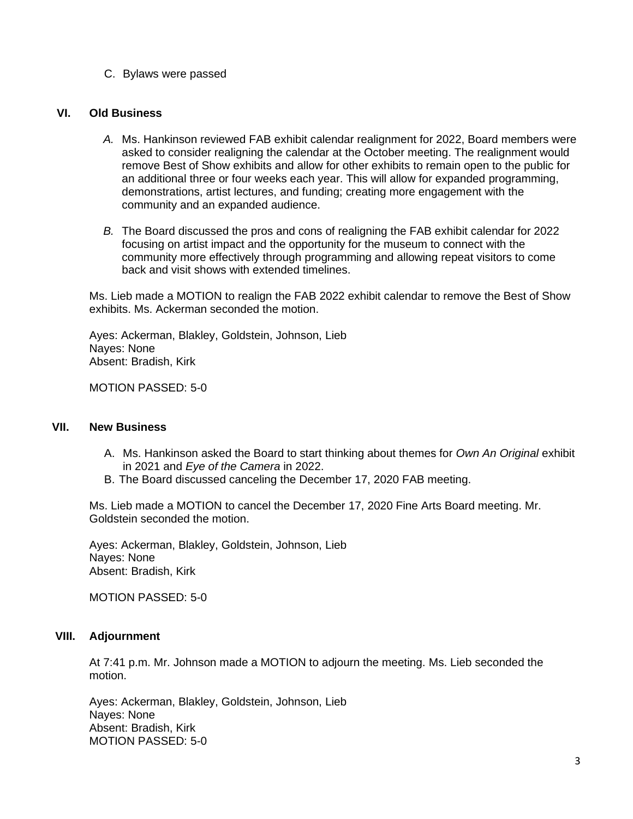C. Bylaws were passed

#### **VI. Old Business**

- *A.* Ms. Hankinson reviewed FAB exhibit calendar realignment for 2022, Board members were asked to consider realigning the calendar at the October meeting. The realignment would remove Best of Show exhibits and allow for other exhibits to remain open to the public for an additional three or four weeks each year. This will allow for expanded programming, demonstrations, artist lectures, and funding; creating more engagement with the community and an expanded audience.
- *B.* The Board discussed the pros and cons of realigning the FAB exhibit calendar for 2022 focusing on artist impact and the opportunity for the museum to connect with the community more effectively through programming and allowing repeat visitors to come back and visit shows with extended timelines.

Ms. Lieb made a MOTION to realign the FAB 2022 exhibit calendar to remove the Best of Show exhibits. Ms. Ackerman seconded the motion.

Ayes: Ackerman, Blakley, Goldstein, Johnson, Lieb Nayes: None Absent: Bradish, Kirk

MOTION PASSED: 5-0

#### **VII. New Business**

- A. Ms. Hankinson asked the Board to start thinking about themes for *Own An Original* exhibit in 2021 and *Eye of the Camera* in 2022.
- B. The Board discussed canceling the December 17, 2020 FAB meeting.

Ms. Lieb made a MOTION to cancel the December 17, 2020 Fine Arts Board meeting. Mr. Goldstein seconded the motion.

Ayes: Ackerman, Blakley, Goldstein, Johnson, Lieb Nayes: None Absent: Bradish, Kirk

MOTION PASSED: 5-0

### **VIII. Adjournment**

At 7:41 p.m. Mr. Johnson made a MOTION to adjourn the meeting. Ms. Lieb seconded the motion.

Ayes: Ackerman, Blakley, Goldstein, Johnson, Lieb Nayes: None Absent: Bradish, Kirk MOTION PASSED: 5-0